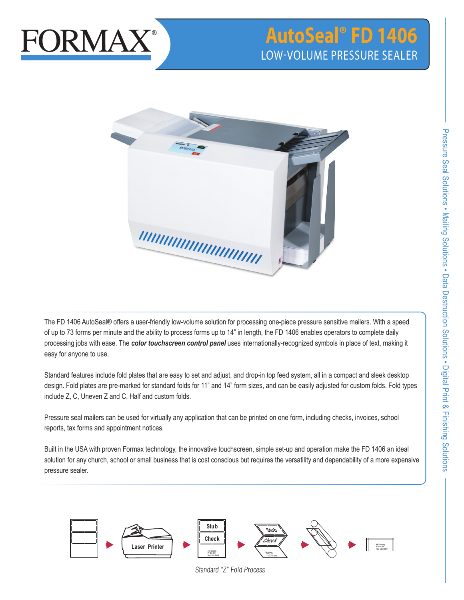

# **AutoSeal® FD 1406** LOW-VOLUME PRESSURE SEALER



The FD 1406 AutoSeal® offers a user-friendly low-volume solution for processing one-piece pressure sensitive mailers. With a speed of up to 73 forms per minute and the ability to process forms up to 14" in length, the FD 1406 enables operators to complete daily processing jobs with ease. The *color touchscreen control panel* uses internationally-recognized symbols in place of text, making it easy for anyone to use.

Standard features include fold plates that are easy to set and adjust, and drop-in top feed system, all in a compact and sleek desktop design. Fold plates are pre-marked for standard folds for 11" and 14" form sizes, and can be easily adjusted for custom folds. Fold types include Z, C, Uneven Z and C, Half and custom folds.

Pressure seal mailers can be used for virtually any application that can be printed on one form, including checks, invoices, school reports, tax forms and appointment notices.

Built in the USA with proven Formax technology, the innovative touchscreen, simple set-up and operation make the FD 1406 an ideal solution for any church, school or small business that is cost conscious but requires the versatility and dependability of a more expensive pressure sealer.



Standard "Z" Fold Process

**Check**

**Here, USA 00000**